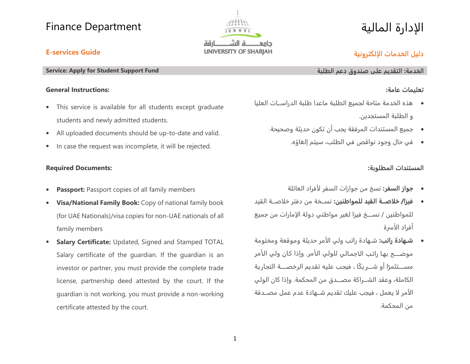

# الإدارة المالية

## **دليل الخدمات اྕلكترونية**

### **E-services Guide**

#### **Service: Apply for Student Support Fund**

#### **General Instructions:**

- $\bullet$  This service is available for all students except graduate students and newly admitted students.
- $\bullet$ All uploaded documents should be up-to-date and valid.
- $\bullet$ In case the request was incomplete, it will be rejected.

### **Required Documents:**

- $\bullet$ **Passport:** Passport copies of all family members
- $\bullet$  **Visa/National Family Book:** Copy of national family book (for UAE Nationals)/visa copies for non-UAE nationals of all family members
- $\bullet$  **Salary Certificate:** Updated, Signed and Stamped TOTAL Salary certificate of the guardian. If the guardian is an investor or partner, you must provide the complete trade license, partnership deed attested by the court. If the guardian is not working, you must provide a non-working certificate attested by the court.

### **الخدمة:**

### **تعليمات عامة:**

- هذه الخدمة متاحة لجميع الطلبة ماعدا طلبة الدراســـات العليا <sup>و</sup> الطلبة المستجدين.
	- جميع المستندات المرفقة يجب أن تكون حديثة وصحيحة.
		- في حال وجود نواقص في الطلب، سيتم إلغاؤه.

### **المستندات المطلوبة:**

- **جواز السفر:** نسخ من جوازات السفر ྌལفراد العائلة
- **فيزا/ خྖصـــة القيد للمواطنين:** نســـخة من دفتر خྍཥصـــة القيد للمواطنين / نســـــخ فيزا لغير مواطني دولة اྌཤمارات من جميع أفراد الأسرة
- **شــهادة راتب:** شــهادة راتب ولي اྌལمر حديثة وموقعة ومختومة موضـــح بها راتب الاجمالي للولي الأمر. وإذا كان ولي الأمر مســـتثمرًا أو شـــر يكًا ، فيجب عليه تقديم الرخصـــة التجارية الكاملة، وعقد الــــاكة مصــــدق من المحكمة. وإذا كان الولي الأمر لا يعمل ، فيجب عليك تقديم شــهادة عدم عمل مصــدقة من المحكمة.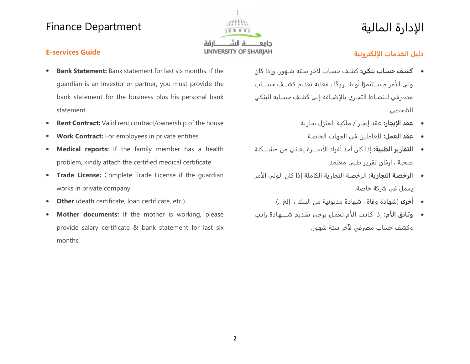

# الإدارة المالية

### **E-services Guide**

- $\bullet$  **Bank Statement:** Bank statement for last six months. If the guardian is an investor or partner, you must provide the bank statement for the business plus his personal bank statement.
- $\bullet$ **Rent Contract:** Valid rent contract/ownership of the house
- $\bullet$ **Work Contract:** For employees in private entities
- $\bullet$  **Medical reports:** If the family member has a health problem, kindly attach the certified medical certificate
- $\bullet$  **Trade License:** Complete Trade License if the guardian works in private company
- $\bullet$ **Other** (death certificate, loan certificate, etc.)
- $\bullet$  **Mother documents:** If the mother is working, please provide salary certificate & bank statement for last six months.

## **دليل الخدمات اྕلكترونية**

- **كشـف حسـاب بنكي:** كشـف حسـاب ྌརخر سـتة شـهور. وإذا كان ولي الأمر مســتثم<del>ر</del>ًا أو شــريكًا ، فعليه تقديم كشــف حســاب مصرفي للنشـاط التجاري بالإضـافة إلى كشـف حسـابه البنكي الشخصي.
	- **عقد اྕيجار:** عقد إيجار / ملكية المنزل سارية
		- **عقد العمل:** للعاملين في الجهات الخاصة
- **التقـارير الطبيـة:** إذا كـان أحـد أفراد اྌـཬལـــــة يعـاني من مشـــــكلـة صحية ، ارفاق تقرير طبي معتمد.
- **الرخصـة التجارية:** الرخصـة التجارية الكاملة إذا كان الولي اྌལمر يعمل في كة خاصة.
	- **أخرى** (شهادة وفاة ، شهادة مديونية من البنك ، إلخ ..)
- $\bullet$  **وثـائق اྕـཬم:** إذا كـانـت اྌـལم تعمـل يرجى تقـديم شـــــهـادة راتـب وكشف حساب مصرفي لآخر ستة شهور.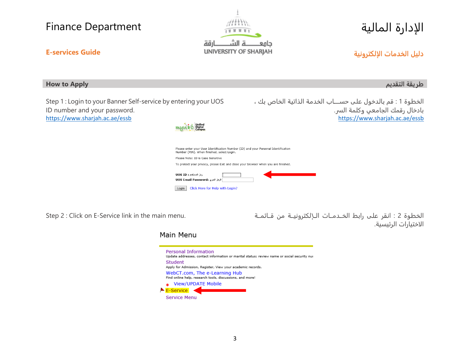

# الإدارة المالية

### **E-services Guide**

#### **How to Apply التقديم طريقة**

Step 1 : Login to your Banner Self-service by entering your UOS ID number and your password. https://www.sharjah.ac.ae/essb



الخطوة 1 : قم بـالـدخول على حســـــاب الخـدمـة الـذاتيـة الخـاص بـك ، بادخال رقمك الجامعي وكلمة ال. https://www.sharjah.ac.ae/essb



| Please enter your User Identification Number (ID) and your Personal Identification<br>Number (PIN). When finished, select Login. |  |
|----------------------------------------------------------------------------------------------------------------------------------|--|
| Please Note: ID is Case Sensitive                                                                                                |  |
| To protect your privacy, please Exit and close your browser when you are finished.                                               |  |
| رمز المستخدم: UOS ID<br>الرمز السرى: UOS Email Password                                                                          |  |

Login Click Here for Help with Login?

Step 2 : Click on E-Service link in the main menu. قـــائـمـــة مـن لـكـتـرونـيـــةཤـــྌا الـخـــدمـــات رابـط عـلـى انـقـر : 2 الـخـطـوة اྌཥختيارات الرئيسية.

#### Main Menu

|                                                                                           | Personal Information<br>Update addresses, contact information or marital status; review name or social security nur |  |  |  |
|-------------------------------------------------------------------------------------------|---------------------------------------------------------------------------------------------------------------------|--|--|--|
|                                                                                           | Student                                                                                                             |  |  |  |
| Apply for Admission, Register, View your academic records.                                |                                                                                                                     |  |  |  |
| WebCT.com, The e-Learning Hub<br>Find online help, research tools, discussions, and more! |                                                                                                                     |  |  |  |
|                                                                                           | <b>View/UPDATE Mobile</b>                                                                                           |  |  |  |
|                                                                                           | E-Service                                                                                                           |  |  |  |
|                                                                                           | <b>Service Menu</b>                                                                                                 |  |  |  |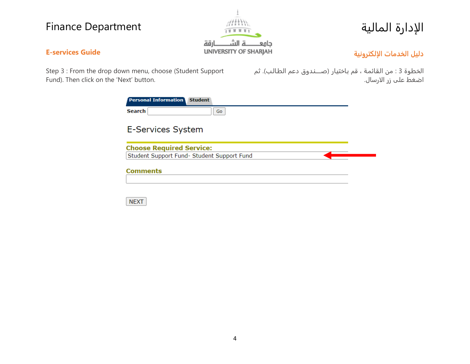

# الإدارة المالية

### **E-services Guide**

**دليل الخدمات اྕلكترونية**

Step 3 : From the drop down menu, choose (Student Support Fund). Then click on the 'Next' button.

الخطوة 3 : من القـائمـة ، قم بـاختيـار (صـــــنـدوق دعم الطـالـب). ثم اضغط على زر الارسال.

| <b>Personal Information</b> Student |                                            |
|-------------------------------------|--------------------------------------------|
| <b>Search</b>                       | Go                                         |
| <b>E-Services System</b>            |                                            |
| <b>Choose Required Service:</b>     |                                            |
|                                     | Student Support Fund- Student Support Fund |
| <b>Comments</b>                     |                                            |
|                                     |                                            |
|                                     |                                            |

**NEXT**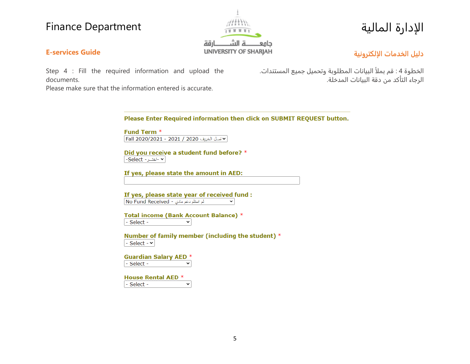**E-services Guide**

documents.



# الإدارة المالية

### **دليل الخدمات اྕلكترونية**

Step 4 : Fill the required information and upload the

الخطوة <sup>4</sup> : قم بمྍལ البيانات المطلوبة وتحميل جميع المستندات. الرجاء التأكد من دقة البيانات المدخلة.

Please make sure that the information entered is accurate.

Please Enter Required information then click on SUBMIT REQUEST button.

**Fund Term \*** | مخ نصل الخريف 2020 / 2021 - 2021/2021 Fall 2020

Did you receive a student fund before? \* ► -اختــر- Select-

If yes, please state the amount in AED:

If yes, please state year of received fund : لم استلم دعم مادي - No Fund Received  $\mathbf{\check{}}$ 

Total income (Bank Account Balance) \* - Select - $\mathbf{\check{}}$ 

Number of family member (including the student) \* - Select -  $\sim$ 

**Guardian Salary AED \*** - Select - $\checkmark$ 

| House Rental AED * |  |
|--------------------|--|
| $-$ Select -       |  |